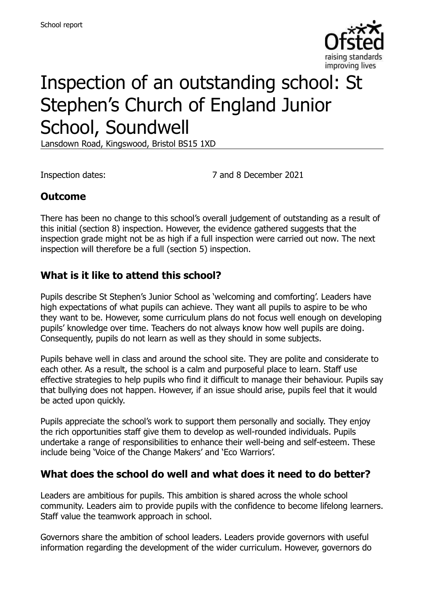

# Inspection of an outstanding school: St Stephen's Church of England Junior School, Soundwell

Lansdown Road, Kingswood, Bristol BS15 1XD

Inspection dates: 7 and 8 December 2021

### **Outcome**

There has been no change to this school's overall judgement of outstanding as a result of this initial (section 8) inspection. However, the evidence gathered suggests that the inspection grade might not be as high if a full inspection were carried out now. The next inspection will therefore be a full (section 5) inspection.

### **What is it like to attend this school?**

Pupils describe St Stephen's Junior School as 'welcoming and comforting'. Leaders have high expectations of what pupils can achieve. They want all pupils to aspire to be who they want to be. However, some curriculum plans do not focus well enough on developing pupils' knowledge over time. Teachers do not always know how well pupils are doing. Consequently, pupils do not learn as well as they should in some subjects.

Pupils behave well in class and around the school site. They are polite and considerate to each other. As a result, the school is a calm and purposeful place to learn. Staff use effective strategies to help pupils who find it difficult to manage their behaviour. Pupils say that bullying does not happen. However, if an issue should arise, pupils feel that it would be acted upon quickly.

Pupils appreciate the school's work to support them personally and socially. They enjoy the rich opportunities staff give them to develop as well-rounded individuals. Pupils undertake a range of responsibilities to enhance their well-being and self-esteem. These include being 'Voice of the Change Makers' and 'Eco Warriors'.

#### **What does the school do well and what does it need to do better?**

Leaders are ambitious for pupils. This ambition is shared across the whole school community. Leaders aim to provide pupils with the confidence to become lifelong learners. Staff value the teamwork approach in school.

Governors share the ambition of school leaders. Leaders provide governors with useful information regarding the development of the wider curriculum. However, governors do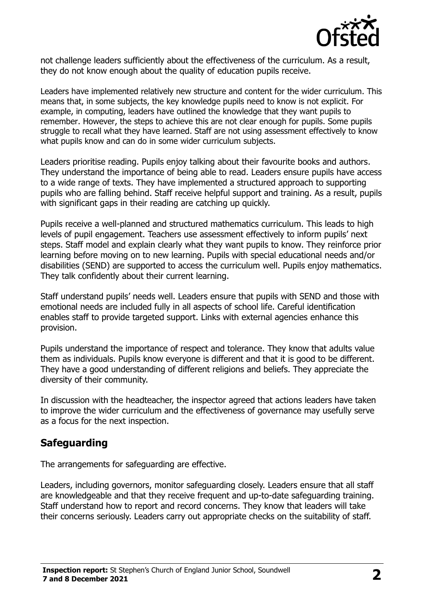

not challenge leaders sufficiently about the effectiveness of the curriculum. As a result, they do not know enough about the quality of education pupils receive.

Leaders have implemented relatively new structure and content for the wider curriculum. This means that, in some subjects, the key knowledge pupils need to know is not explicit. For example, in computing, leaders have outlined the knowledge that they want pupils to remember. However, the steps to achieve this are not clear enough for pupils. Some pupils struggle to recall what they have learned. Staff are not using assessment effectively to know what pupils know and can do in some wider curriculum subjects.

Leaders prioritise reading. Pupils enjoy talking about their favourite books and authors. They understand the importance of being able to read. Leaders ensure pupils have access to a wide range of texts. They have implemented a structured approach to supporting pupils who are falling behind. Staff receive helpful support and training. As a result, pupils with significant gaps in their reading are catching up quickly.

Pupils receive a well-planned and structured mathematics curriculum. This leads to high levels of pupil engagement. Teachers use assessment effectively to inform pupils' next steps. Staff model and explain clearly what they want pupils to know. They reinforce prior learning before moving on to new learning. Pupils with special educational needs and/or disabilities (SEND) are supported to access the curriculum well. Pupils enjoy mathematics. They talk confidently about their current learning.

Staff understand pupils' needs well. Leaders ensure that pupils with SEND and those with emotional needs are included fully in all aspects of school life. Careful identification enables staff to provide targeted support. Links with external agencies enhance this provision.

Pupils understand the importance of respect and tolerance. They know that adults value them as individuals. Pupils know everyone is different and that it is good to be different. They have a good understanding of different religions and beliefs. They appreciate the diversity of their community.

In discussion with the headteacher, the inspector agreed that actions leaders have taken to improve the wider curriculum and the effectiveness of governance may usefully serve as a focus for the next inspection.

#### **Safeguarding**

The arrangements for safeguarding are effective.

Leaders, including governors, monitor safeguarding closely. Leaders ensure that all staff are knowledgeable and that they receive frequent and up-to-date safeguarding training. Staff understand how to report and record concerns. They know that leaders will take their concerns seriously. Leaders carry out appropriate checks on the suitability of staff.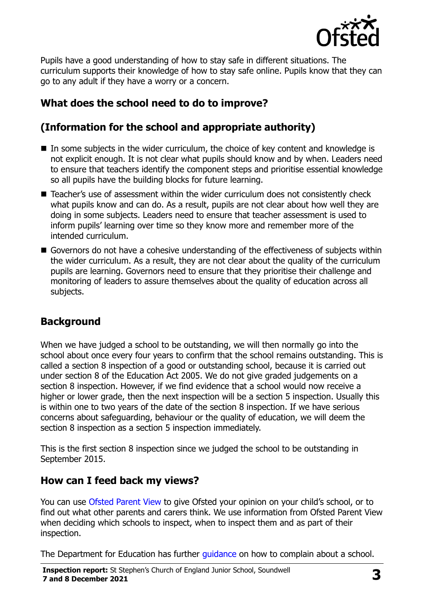

Pupils have a good understanding of how to stay safe in different situations. The curriculum supports their knowledge of how to stay safe online. Pupils know that they can go to any adult if they have a worry or a concern.

# **What does the school need to do to improve?**

# **(Information for the school and appropriate authority)**

- $\blacksquare$  In some subjects in the wider curriculum, the choice of key content and knowledge is not explicit enough. It is not clear what pupils should know and by when. Leaders need to ensure that teachers identify the component steps and prioritise essential knowledge so all pupils have the building blocks for future learning.
- Teacher's use of assessment within the wider curriculum does not consistently check what pupils know and can do. As a result, pupils are not clear about how well they are doing in some subjects. Leaders need to ensure that teacher assessment is used to inform pupils' learning over time so they know more and remember more of the intended curriculum.
- Governors do not have a cohesive understanding of the effectiveness of subjects within the wider curriculum. As a result, they are not clear about the quality of the curriculum pupils are learning. Governors need to ensure that they prioritise their challenge and monitoring of leaders to assure themselves about the quality of education across all subjects.

# **Background**

When we have judged a school to be outstanding, we will then normally go into the school about once every four years to confirm that the school remains outstanding. This is called a section 8 inspection of a good or outstanding school, because it is carried out under section 8 of the Education Act 2005. We do not give graded judgements on a section 8 inspection. However, if we find evidence that a school would now receive a higher or lower grade, then the next inspection will be a section 5 inspection. Usually this is within one to two years of the date of the section 8 inspection. If we have serious concerns about safeguarding, behaviour or the quality of education, we will deem the section 8 inspection as a section 5 inspection immediately.

This is the first section 8 inspection since we judged the school to be outstanding in September 2015.

#### **How can I feed back my views?**

You can use [Ofsted Parent View](https://parentview.ofsted.gov.uk/) to give Ofsted your opinion on your child's school, or to find out what other parents and carers think. We use information from Ofsted Parent View when deciding which schools to inspect, when to inspect them and as part of their inspection.

The Department for Education has further quidance on how to complain about a school.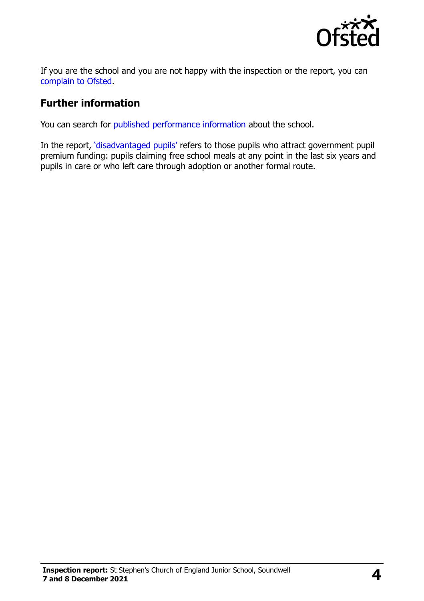

If you are the school and you are not happy with the inspection or the report, you can [complain to Ofsted.](https://www.gov.uk/complain-ofsted-report)

#### **Further information**

You can search for [published performance information](http://www.compare-school-performance.service.gov.uk/) about the school.

In the report, '[disadvantaged pupils](http://www.gov.uk/guidance/pupil-premium-information-for-schools-and-alternative-provision-settings)' refers to those pupils who attract government pupil premium funding: pupils claiming free school meals at any point in the last six years and pupils in care or who left care through adoption or another formal route.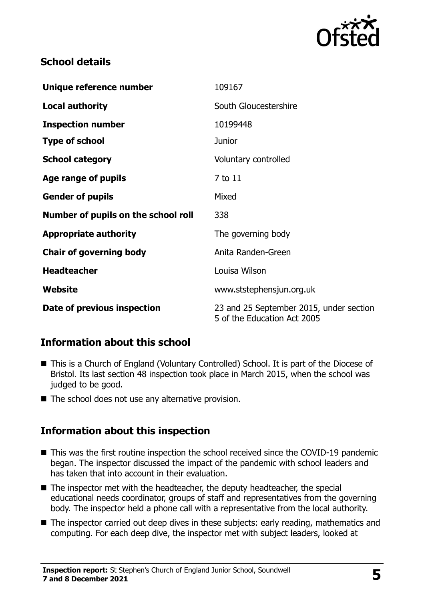

## **School details**

| Unique reference number             | 109167                                                                 |
|-------------------------------------|------------------------------------------------------------------------|
| <b>Local authority</b>              | South Gloucestershire                                                  |
| <b>Inspection number</b>            | 10199448                                                               |
| <b>Type of school</b>               | <b>Junior</b>                                                          |
| <b>School category</b>              | Voluntary controlled                                                   |
| Age range of pupils                 | 7 to 11                                                                |
| <b>Gender of pupils</b>             | Mixed                                                                  |
| Number of pupils on the school roll | 338                                                                    |
| <b>Appropriate authority</b>        | The governing body                                                     |
| <b>Chair of governing body</b>      | Anita Randen-Green                                                     |
| <b>Headteacher</b>                  | Louisa Wilson                                                          |
| Website                             | www.ststephensjun.org.uk                                               |
| Date of previous inspection         | 23 and 25 September 2015, under section<br>5 of the Education Act 2005 |

# **Information about this school**

- This is a Church of England (Voluntary Controlled) School. It is part of the Diocese of Bristol. Its last section 48 inspection took place in March 2015, when the school was judged to be good.
- $\blacksquare$  The school does not use any alternative provision.

#### **Information about this inspection**

- This was the first routine inspection the school received since the COVID-19 pandemic began. The inspector discussed the impact of the pandemic with school leaders and has taken that into account in their evaluation.
- The inspector met with the headteacher, the deputy headteacher, the special educational needs coordinator, groups of staff and representatives from the governing body. The inspector held a phone call with a representative from the local authority.
- The inspector carried out deep dives in these subiects: early reading, mathematics and computing. For each deep dive, the inspector met with subject leaders, looked at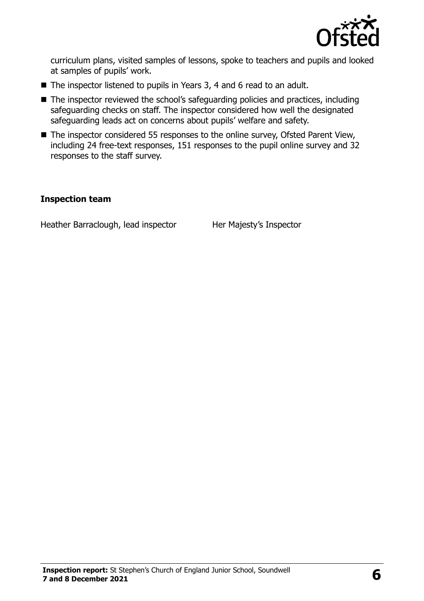

curriculum plans, visited samples of lessons, spoke to teachers and pupils and looked at samples of pupils' work.

- The inspector listened to pupils in Years 3, 4 and 6 read to an adult.
- The inspector reviewed the school's safeguarding policies and practices, including safeguarding checks on staff. The inspector considered how well the designated safeguarding leads act on concerns about pupils' welfare and safety.
- The inspector considered 55 responses to the online survey, Ofsted Parent View, including 24 free-text responses, 151 responses to the pupil online survey and 32 responses to the staff survey.

#### **Inspection team**

Heather Barraclough, lead inspector Her Majesty's Inspector